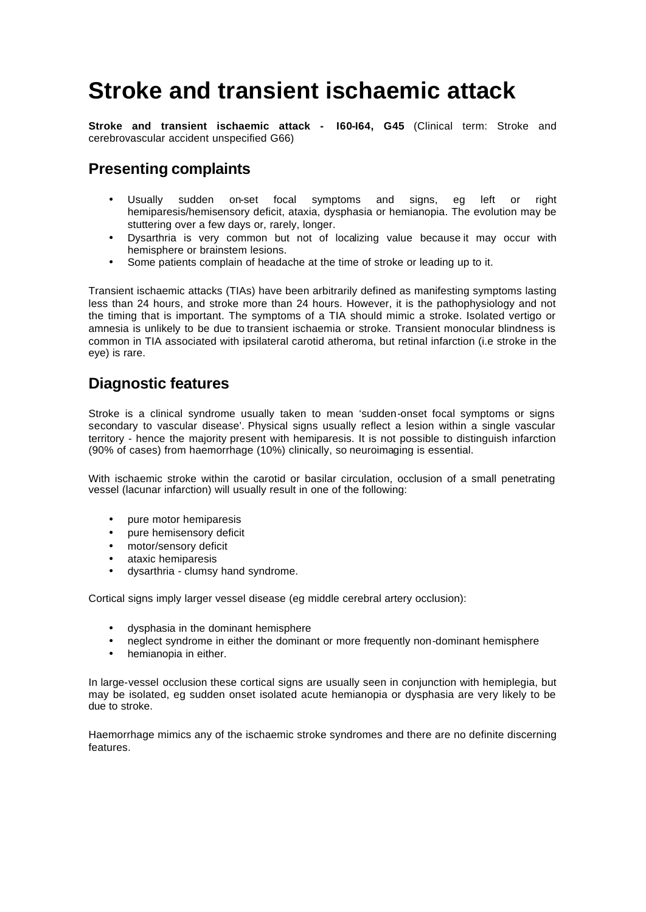# **Stroke and transient ischaemic attack**

**Stroke and transient ischaemic attack - I60-I64, G45** (Clinical term: Stroke and cerebrovascular accident unspecified G66)

### **Presenting complaints**

- Usually sudden on-set focal symptoms and signs, eg left or right hemiparesis/hemisensory deficit, ataxia, dysphasia or hemianopia. The evolution may be stuttering over a few days or, rarely, longer.
- Dysarthria is very common but not of localizing value because it may occur with hemisphere or brainstem lesions.
- Some patients complain of headache at the time of stroke or leading up to it.

Transient ischaemic attacks (TIAs) have been arbitrarily defined as manifesting symptoms lasting less than 24 hours, and stroke more than 24 hours. However, it is the pathophysiology and not the timing that is important. The symptoms of a TIA should mimic a stroke. Isolated vertigo or amnesia is unlikely to be due to transient ischaemia or stroke. Transient monocular blindness is common in TIA associated with ipsilateral carotid atheroma, but retinal infarction (i.e stroke in the eye) is rare.

### **Diagnostic features**

Stroke is a clinical syndrome usually taken to mean 'sudden-onset focal symptoms or signs secondary to vascular disease'. Physical signs usually reflect a lesion within a single vascular territory - hence the majority present with hemiparesis. It is not possible to distinguish infarction (90% of cases) from haemorrhage (10%) clinically, so neuroimaging is essential.

With ischaemic stroke within the carotid or basilar circulation, occlusion of a small penetrating vessel (lacunar infarction) will usually result in one of the following:

- pure motor hemiparesis
- pure hemisensory deficit
- motor/sensory deficit
- ataxic hemiparesis
- dysarthria clumsy hand syndrome.

Cortical signs imply larger vessel disease (eg middle cerebral artery occlusion):

- dysphasia in the dominant hemisphere
- neglect syndrome in either the dominant or more frequently non-dominant hemisphere
- hemianopia in either.

In large-vessel occlusion these cortical signs are usually seen in conjunction with hemiplegia, but may be isolated, eg sudden onset isolated acute hemianopia or dysphasia are very likely to be due to stroke.

Haemorrhage mimics any of the ischaemic stroke syndromes and there are no definite discerning features.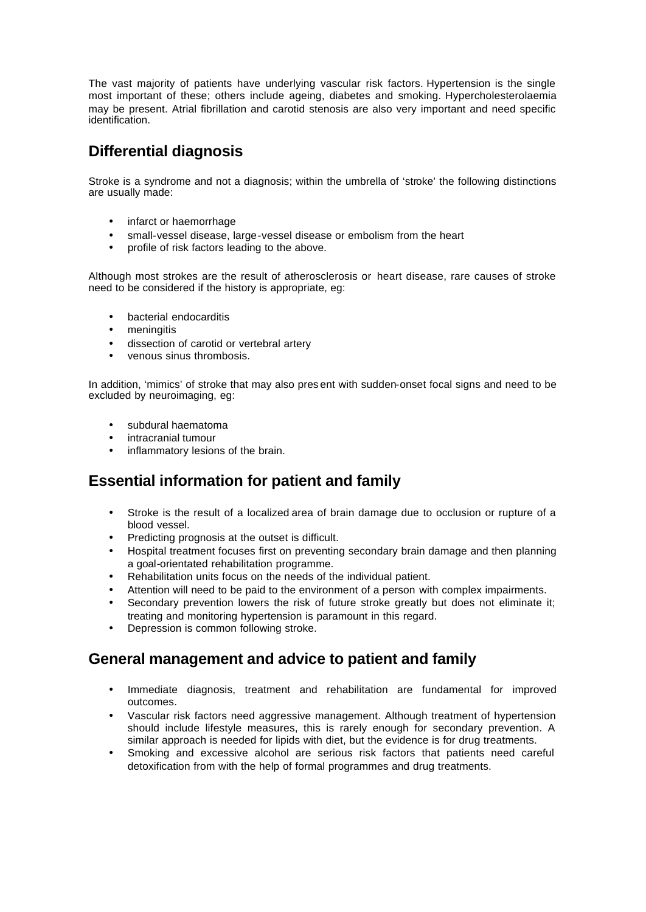The vast majority of patients have underlying vascular risk factors. Hypertension is the single most important of these; others include ageing, diabetes and smoking. Hypercholesterolaemia may be present. Atrial fibrillation and carotid stenosis are also very important and need specific identification.

### **Differential diagnosis**

Stroke is a syndrome and not a diagnosis; within the umbrella of 'stroke' the following distinctions are usually made:

- infarct or haemorrhage
- small-vessel disease, large-vessel disease or embolism from the heart
- profile of risk factors leading to the above.

Although most strokes are the result of atherosclerosis or heart disease, rare causes of stroke need to be considered if the history is appropriate, eg:

- bacterial endocarditis
- meningitis
- dissection of carotid or vertebral artery
- venous sinus thrombosis.

In addition, 'mimics' of stroke that may also pres ent with sudden-onset focal signs and need to be excluded by neuroimaging, eg:

- subdural haematoma
- intracranial tumour
- inflammatory lesions of the brain.

### **Essential information for patient and family**

- Stroke is the result of a localized area of brain damage due to occlusion or rupture of a blood vessel.
- Predicting prognosis at the outset is difficult.
- Hospital treatment focuses first on preventing secondary brain damage and then planning a goal-orientated rehabilitation programme.
- Rehabilitation units focus on the needs of the individual patient.
- Attention will need to be paid to the environment of a person with complex impairments.
- Secondary prevention lowers the risk of future stroke greatly but does not eliminate it; treating and monitoring hypertension is paramount in this regard.
- Depression is common following stroke.

### **General management and advice to patient and family**

- Immediate diagnosis, treatment and rehabilitation are fundamental for improved outcomes.
- Vascular risk factors need aggressive management. Although treatment of hypertension should include lifestyle measures, this is rarely enough for secondary prevention. A similar approach is needed for lipids with diet, but the evidence is for drug treatments.
- Smoking and excessive alcohol are serious risk factors that patients need careful detoxification from with the help of formal programmes and drug treatments.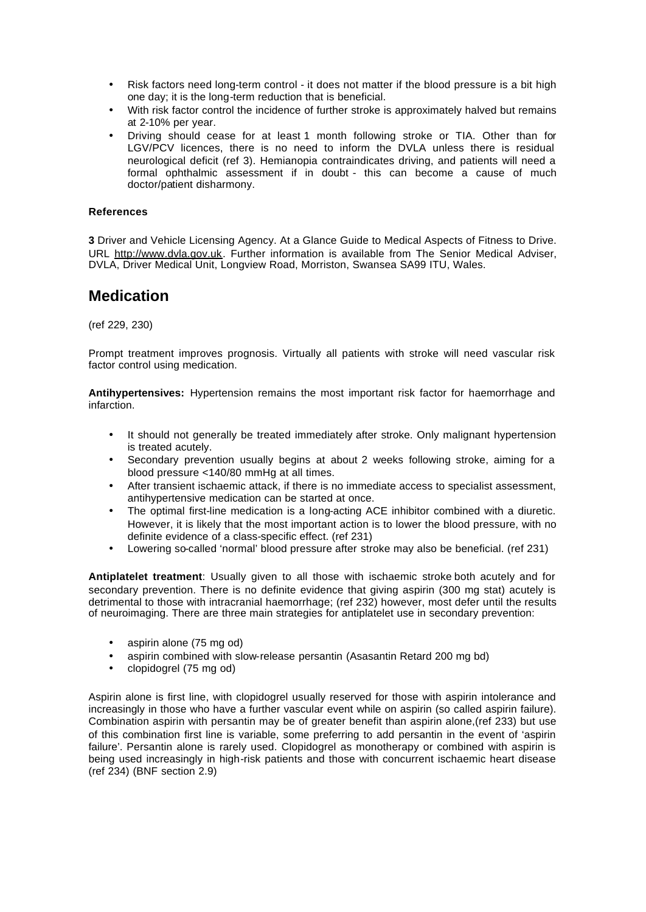- Risk factors need long-term control it does not matter if the blood pressure is a bit high one day; it is the long-term reduction that is beneficial.
- With risk factor control the incidence of further stroke is approximately halved but remains at 2-10% per year.
- Driving should cease for at least 1 month following stroke or TIA. Other than for LGV/PCV licences, there is no need to inform the DVLA unless there is residual neurological deficit (ref 3). Hemianopia contraindicates driving, and patients will need a formal ophthalmic assessment if in doubt - this can become a cause of much doctor/patient disharmony.

#### **References**

**3** Driver and Vehicle Licensing Agency. At a Glance Guide to Medical Aspects of Fitness to Drive. URL http://www.dvla.gov.uk. Further information is available from The Senior Medical Adviser, DVLA, Driver Medical Unit, Longview Road, Morriston, Swansea SA99 ITU, Wales.

### **Medication**

(ref 229, 230)

Prompt treatment improves prognosis. Virtually all patients with stroke will need vascular risk factor control using medication.

**Antihypertensives:** Hypertension remains the most important risk factor for haemorrhage and infarction.

- It should not generally be treated immediately after stroke. Only malignant hypertension is treated acutely.
- Secondary prevention usually begins at about 2 weeks following stroke, aiming for a blood pressure <140/80 mmHg at all times.
- After transient ischaemic attack, if there is no immediate access to specialist assessment, antihypertensive medication can be started at once.
- The optimal first-line medication is a long-acting ACE inhibitor combined with a diuretic. However, it is likely that the most important action is to lower the blood pressure, with no definite evidence of a class-specific effect. (ref 231)
- Lowering so-called 'normal' blood pressure after stroke may also be beneficial. (ref 231)

**Antiplatelet treatment**: Usually given to all those with ischaemic stroke both acutely and for secondary prevention. There is no definite evidence that giving aspirin (300 mg stat) acutely is detrimental to those with intracranial haemorrhage; (ref 232) however, most defer until the results of neuroimaging. There are three main strategies for antiplatelet use in secondary prevention:

- aspirin alone (75 mg od)
- aspirin combined with slow-release persantin (Asasantin Retard 200 mg bd)
- clopidogrel (75 mg od)

Aspirin alone is first line, with clopidogrel usually reserved for those with aspirin intolerance and increasingly in those who have a further vascular event while on aspirin (so called aspirin failure). Combination aspirin with persantin may be of greater benefit than aspirin alone,(ref 233) but use of this combination first line is variable, some preferring to add persantin in the event of 'aspirin failure'. Persantin alone is rarely used. Clopidogrel as monotherapy or combined with aspirin is being used increasingly in high-risk patients and those with concurrent ischaemic heart disease (ref 234) (BNF section 2.9)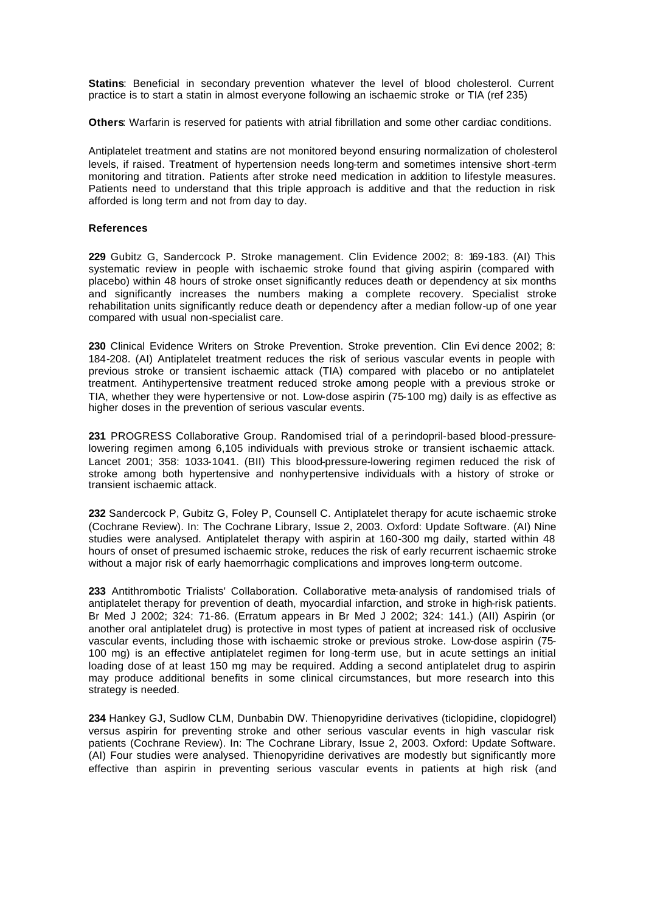**Statins**: Beneficial in secondary prevention whatever the level of blood cholesterol. Current practice is to start a statin in almost everyone following an ischaemic stroke or TIA (ref 235)

**Others**: Warfarin is reserved for patients with atrial fibrillation and some other cardiac conditions.

Antiplatelet treatment and statins are not monitored beyond ensuring normalization of cholesterol levels, if raised. Treatment of hypertension needs long-term and sometimes intensive short-term monitoring and titration. Patients after stroke need medication in addition to lifestyle measures. Patients need to understand that this triple approach is additive and that the reduction in risk afforded is long term and not from day to day.

#### **References**

**229** Gubitz G, Sandercock P. Stroke management. Clin Evidence 2002; 8: 169-183. (AI) This systematic review in people with ischaemic stroke found that giving aspirin (compared with placebo) within 48 hours of stroke onset significantly reduces death or dependency at six months and significantly increases the numbers making a complete recovery. Specialist stroke rehabilitation units significantly reduce death or dependency after a median follow-up of one year compared with usual non-specialist care.

**230** Clinical Evidence Writers on Stroke Prevention. Stroke prevention. Clin Evi dence 2002; 8: 184-208. (AI) Antiplatelet treatment reduces the risk of serious vascular events in people with previous stroke or transient ischaemic attack (TIA) compared with placebo or no antiplatelet treatment. Antihypertensive treatment reduced stroke among people with a previous stroke or TIA, whether they were hypertensive or not. Low-dose aspirin (75-100 mg) daily is as effective as higher doses in the prevention of serious vascular events.

**231** PROGRESS Collaborative Group. Randomised trial of a perindopril-based blood-pressurelowering regimen among 6,105 individuals with previous stroke or transient ischaemic attack. Lancet 2001; 358: 1033-1041. (BII) This blood-pressure-lowering regimen reduced the risk of stroke among both hypertensive and nonhypertensive individuals with a history of stroke or transient ischaemic attack.

**232** Sandercock P, Gubitz G, Foley P, Counsell C. Antiplatelet therapy for acute ischaemic stroke (Cochrane Review). In: The Cochrane Library, Issue 2, 2003. Oxford: Update Software. (AI) Nine studies were analysed. Antiplatelet therapy with aspirin at 160-300 mg daily, started within 48 hours of onset of presumed ischaemic stroke, reduces the risk of early recurrent ischaemic stroke without a major risk of early haemorrhagic complications and improves long-term outcome.

**233** Antithrombotic Trialists' Collaboration. Collaborative meta-analysis of randomised trials of antiplatelet therapy for prevention of death, myocardial infarction, and stroke in high-risk patients. Br Med J 2002; 324: 71-86. (Erratum appears in Br Med J 2002; 324: 141.) (AII) Aspirin (or another oral antiplatelet drug) is protective in most types of patient at increased risk of occlusive vascular events, including those with ischaemic stroke or previous stroke. Low-dose aspirin (75- 100 mg) is an effective antiplatelet regimen for long-term use, but in acute settings an initial loading dose of at least 150 mg may be required. Adding a second antiplatelet drug to aspirin may produce additional benefits in some clinical circumstances, but more research into this strategy is needed.

**234** Hankey GJ, Sudlow CLM, Dunbabin DW. Thienopyridine derivatives (ticlopidine, clopidogrel) versus aspirin for preventing stroke and other serious vascular events in high vascular risk patients (Cochrane Review). In: The Cochrane Library, Issue 2, 2003. Oxford: Update Software. (AI) Four studies were analysed. Thienopyridine derivatives are modestly but significantly more effective than aspirin in preventing serious vascular events in patients at high risk (and